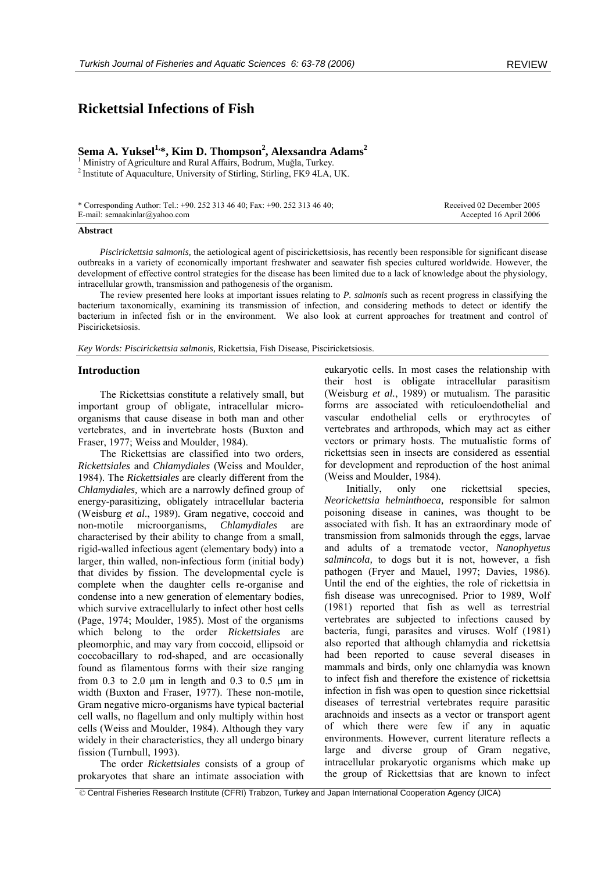# **Rickettsial Infections of Fish**

# **Sema A. Yuksel1,\*, Kim D. Thompson2 , Alexsandra Adams2**

<sup>1</sup> Ministry of Agriculture and Rural Affairs, Bodrum, Muğla, Turkey.  $^2$  Institute of Aquaculture, University of Stirling, Stirling, FK9 4LA, UK.

\* Corresponding Author: Tel.: +90. 252 313 46 40; Fax: +90. 252 313 46 40; E-mail: semaakinlar@yahoo.com

 Received 02 December 2005 Accepted 16 April 2006

#### **Abstract**

*Piscirickettsia salmonis,* the aetiological agent of piscirickettsiosis, has recently been responsible for significant disease outbreaks in a variety of economically important freshwater and seawater fish species cultured worldwide. However, the development of effective control strategies for the disease has been limited due to a lack of knowledge about the physiology, intracellular growth, transmission and pathogenesis of the organism.

The review presented here looks at important issues relating to *P. salmonis* such as recent progress in classifying the bacterium taxonomically, examining its transmission of infection, and considering methods to detect or identify the bacterium in infected fish or in the environment. We also look at current approaches for treatment and control of Pisciricketsiosis.

*Key Words: Piscirickettsia salmonis,* Rickettsia, Fish Disease, Pisciricketsiosis.

#### **Introduction**

The Rickettsias constitute a relatively small, but important group of obligate, intracellular microorganisms that cause disease in both man and other vertebrates, and in invertebrate hosts (Buxton and Fraser, 1977; Weiss and Moulder, 1984).

The Rickettsias are classified into two orders, *Rickettsiales* and *Chlamydiales* (Weiss and Moulder, 1984). The *Rickettsiales* are clearly different from the *Chlamydiales,* which are a narrowly defined group of energy-parasitizing, obligately intracellular bacteria (Weisburg *et al*., 1989). Gram negative, coccoid and non-motile microorganisms, *Chlamydiales* are characterised by their ability to change from a small, rigid-walled infectious agent (elementary body) into a larger, thin walled, non-infectious form (initial body) that divides by fission. The developmental cycle is complete when the daughter cells re-organise and condense into a new generation of elementary bodies, which survive extracellularly to infect other host cells (Page, 1974; Moulder, 1985). Most of the organisms which belong to the order *Rickettsiales* are pleomorphic, and may vary from coccoid, ellipsoid or coccobacillary to rod-shaped, and are occasionally found as filamentous forms with their size ranging from  $0.3$  to  $2.0 \mu m$  in length and  $0.3$  to  $0.5 \mu m$  in width (Buxton and Fraser, 1977). These non-motile, Gram negative micro-organisms have typical bacterial cell walls, no flagellum and only multiply within host cells (Weiss and Moulder, 1984). Although they vary widely in their characteristics, they all undergo binary fission (Turnbull, 1993).

The order *Rickettsiales* consists of a group of prokaryotes that share an intimate association with

eukaryotic cells. In most cases the relationship with their host is obligate intracellular parasitism (Weisburg *et al.*, 1989) or mutualism. The parasitic forms are associated with reticuloendothelial and vascular endothelial cells or erythrocytes of vertebrates and arthropods, which may act as either vectors or primary hosts. The mutualistic forms of rickettsias seen in insects are considered as essential for development and reproduction of the host animal (Weiss and Moulder, 1984).

Initially, only one rickettsial species, *Neorickettsia helminthoeca,* responsible for salmon poisoning disease in canines, was thought to be associated with fish. It has an extraordinary mode of transmission from salmonids through the eggs, larvae and adults of a trematode vector, *Nanophyetus salmincola,* to dogs but it is not, however, a fish pathogen (Fryer and Mauel, 1997; Davies, 1986). Until the end of the eighties, the role of rickettsia in fish disease was unrecognised. Prior to 1989, Wolf (1981) reported that fish as well as terrestrial vertebrates are subjected to infections caused by bacteria, fungi, parasites and viruses. Wolf (1981) also reported that although chlamydia and rickettsia had been reported to cause several diseases in mammals and birds, only one chlamydia was known to infect fish and therefore the existence of rickettsia infection in fish was open to question since rickettsial diseases of terrestrial vertebrates require parasitic arachnoids and insects as a vector or transport agent of which there were few if any in aquatic environments. However, current literature reflects a large and diverse group of Gram negative, intracellular prokaryotic organisms which make up the group of Rickettsias that are known to infect

© Central Fisheries Research Institute (CFRI) Trabzon, Turkey and Japan International Cooperation Agency (JICA)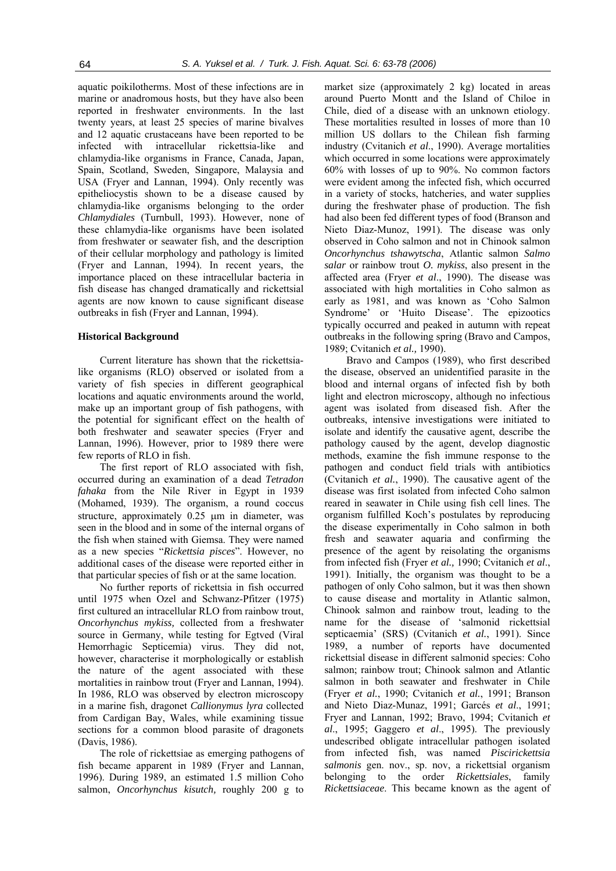aquatic poikilotherms. Most of these infections are in marine or anadromous hosts, but they have also been reported in freshwater environments. In the last twenty years, at least 25 species of marine bivalves and 12 aquatic crustaceans have been reported to be infected with intracellular rickettsia-like and chlamydia-like organisms in France, Canada, Japan, Spain, Scotland, Sweden, Singapore, Malaysia and USA (Fryer and Lannan, 1994). Only recently was epitheliocystis shown to be a disease caused by chlamydia-like organisms belonging to the order *Chlamydiales* (Turnbull, 1993). However, none of these chlamydia-like organisms have been isolated from freshwater or seawater fish, and the description of their cellular morphology and pathology is limited (Fryer and Lannan, 1994). In recent years, the importance placed on these intracellular bacteria in fish disease has changed dramatically and rickettsial agents are now known to cause significant disease outbreaks in fish (Fryer and Lannan, 1994).

#### **Historical Background**

Current literature has shown that the rickettsialike organisms (RLO) observed or isolated from a variety of fish species in different geographical locations and aquatic environments around the world, make up an important group of fish pathogens, with the potential for significant effect on the health of both freshwater and seawater species (Fryer and Lannan, 1996). However, prior to 1989 there were few reports of RLO in fish.

The first report of RLO associated with fish, occurred during an examination of a dead *Tetradon fahaka* from the Nile River in Egypt in 1939 (Mohamed, 1939). The organism, a round coccus structure, approximately 0.25 µm in diameter, was seen in the blood and in some of the internal organs of the fish when stained with Giemsa. They were named as a new species "*Rickettsia pisces*". However, no additional cases of the disease were reported either in that particular species of fish or at the same location.

No further reports of rickettsia in fish occurred until 1975 when Ozel and Schwanz-Pfitzer (1975) first cultured an intracellular RLO from rainbow trout, *Oncorhynchus mykiss,* collected from a freshwater source in Germany, while testing for Egtved (Viral Hemorrhagic Septicemia) virus. They did not, however, characterise it morphologically or establish the nature of the agent associated with these mortalities in rainbow trout (Fryer and Lannan, 1994). In 1986, RLO was observed by electron microscopy in a marine fish, dragonet *Callionymus lyra* collected from Cardigan Bay, Wales, while examining tissue sections for a common blood parasite of dragonets (Davis, 1986).

The role of rickettsiae as emerging pathogens of fish became apparent in 1989 (Fryer and Lannan, 1996). During 1989, an estimated 1.5 million Coho salmon, *Oncorhynchus kisutch,* roughly 200 g to

market size (approximately 2 kg) located in areas around Puerto Montt and the Island of Chiloe in Chile, died of a disease with an unknown etiology. These mortalities resulted in losses of more than 10 million US dollars to the Chilean fish farming industry (Cvitanich *et al*., 1990). Average mortalities which occurred in some locations were approximately 60% with losses of up to 90%. No common factors were evident among the infected fish, which occurred in a variety of stocks, hatcheries, and water supplies during the freshwater phase of production. The fish had also been fed different types of food (Branson and Nieto Diaz-Munoz, 1991). The disease was only observed in Coho salmon and not in Chinook salmon *Oncorhynchus tshawytscha*, Atlantic salmon *Salmo salar* or rainbow trout *O. mykiss*, also present in the affected area (Fryer *et al*., 1990). The disease was associated with high mortalities in Coho salmon as early as 1981, and was known as 'Coho Salmon Syndrome' or 'Huito Disease'. The epizootics typically occurred and peaked in autumn with repeat outbreaks in the following spring (Bravo and Campos, 1989; Cvitanich *et al.,* 1990).

Bravo and Campos (1989), who first described the disease, observed an unidentified parasite in the blood and internal organs of infected fish by both light and electron microscopy, although no infectious agent was isolated from diseased fish. After the outbreaks, intensive investigations were initiated to isolate and identify the causative agent, describe the pathology caused by the agent, develop diagnostic methods, examine the fish immune response to the pathogen and conduct field trials with antibiotics (Cvitanich *et al.*, 1990). The causative agent of the disease was first isolated from infected Coho salmon reared in seawater in Chile using fish cell lines. The organism fulfilled Koch's postulates by reproducing the disease experimentally in Coho salmon in both fresh and seawater aquaria and confirming the presence of the agent by reisolating the organisms from infected fish (Fryer *et al.,* 1990; Cvitanich *et al*., 1991). Initially, the organism was thought to be a pathogen of only Coho salmon, but it was then shown to cause disease and mortality in Atlantic salmon, Chinook salmon and rainbow trout, leading to the name for the disease of 'salmonid rickettsial septicaemia' (SRS) (Cvitanich *et al.*, 1991). Since 1989, a number of reports have documented rickettsial disease in different salmonid species: Coho salmon; rainbow trout; Chinook salmon and Atlantic salmon in both seawater and freshwater in Chile (Fryer *et al.*, 1990; Cvitanich *et al.*, 1991; Branson and Nieto Diaz-Munaz, 1991; Garcés *et al*., 1991; Fryer and Lannan, 1992; Bravo, 1994; Cvitanich *et al*., 1995; Gaggero *et al*., 1995). The previously undescribed obligate intracellular pathogen isolated from infected fish, was named *Piscirickettsia salmonis* gen. nov., sp. nov, a rickettsial organism belonging to the order *Rickettsiales*, family *Rickettsiaceae*. This became known as the agent of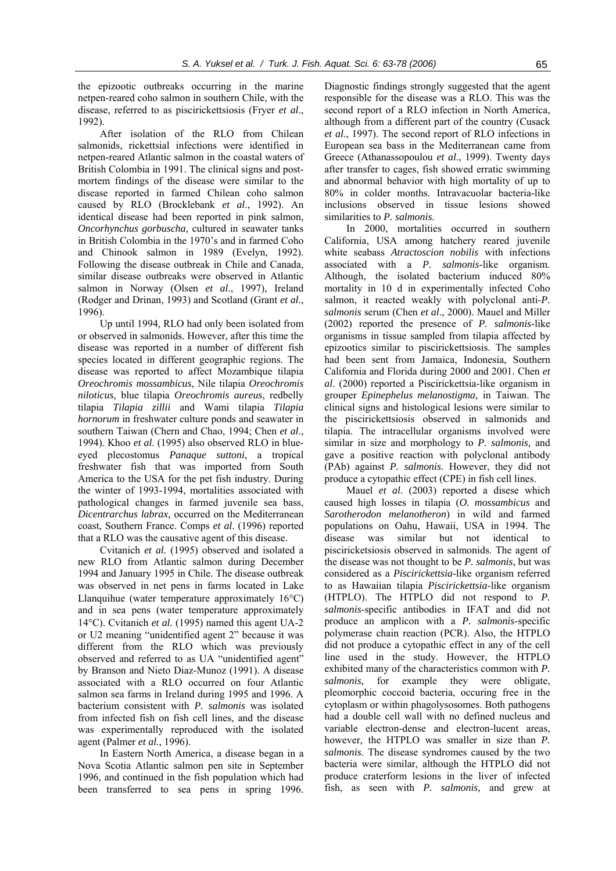the epizootic outbreaks occurring in the marine netpen-reared coho salmon in southern Chile, with the disease, referred to as piscirickettsiosis (Fryer *et al*., 1992).

After isolation of the RLO from Chilean salmonids, rickettsial infections were identified in netpen-reared Atlantic salmon in the coastal waters of British Colombia in 1991. The clinical signs and postmortem findings of the disease were similar to the disease reported in farmed Chilean coho salmon caused by RLO (Brocklebank *et al*., 1992). An identical disease had been reported in pink salmon, *Oncorhynchus gorbuscha,* cultured in seawater tanks in British Colombia in the 1970's and in farmed Coho and Chinook salmon in 1989 (Evelyn, 1992). Following the disease outbreak in Chile and Canada, similar disease outbreaks were observed in Atlantic salmon in Norway (Olsen *et al*., 1997), Ireland (Rodger and Drinan, 1993) and Scotland (Grant *et al*., 1996).

Up until 1994, RLO had only been isolated from or observed in salmonids. However, after this time the disease was reported in a number of different fish species located in different geographic regions. The disease was reported to affect Mozambique tilapia *Oreochromis mossambicus*, Nile tilapia *Oreochromis niloticus*, blue tilapia *Oreochromis aureus*, redbelly tilapia *Tilapia zillii* and Wami tilapia *Tilapia hornorum* in freshwater culture ponds and seawater in southern Taiwan (Chern and Chao, 1994; Chen *et al*., 1994). Khoo *et al*. (1995) also observed RLO in blueeyed plecostomus *Panaque suttoni*, a tropical freshwater fish that was imported from South America to the USA for the pet fish industry. During the winter of 1993-1994, mortalities associated with pathological changes in farmed juvenile sea bass, *Dicentrarchus labrax,* occurred on the Mediterranean coast, Southern France. Comps *et al*. (1996) reported that a RLO was the causative agent of this disease.

Cvitanich *et al.* (1995) observed and isolated a new RLO from Atlantic salmon during December 1994 and January 1995 in Chile. The disease outbreak was observed in net pens in farms located in Lake Llanquihue (water temperature approximately 16°C) and in sea pens (water temperature approximately 14°C). Cvitanich *et al.* (1995) named this agent UA-2 or U2 meaning "unidentified agent 2" because it was different from the RLO which was previously observed and referred to as UA "unidentified agent" by Branson and Nieto Diaz-Munoz (1991). A disease associated with a RLO occurred on four Atlantic salmon sea farms in Ireland during 1995 and 1996. A bacterium consistent with *P. salmonis* was isolated from infected fish on fish cell lines, and the disease was experimentally reproduced with the isolated agent (Palmer *et al*., 1996).

In Eastern North America, a disease began in a Nova Scotia Atlantic salmon pen site in September 1996, and continued in the fish population which had been transferred to sea pens in spring 1996. Diagnostic findings strongly suggested that the agent responsible for the disease was a RLO. This was the second report of a RLO infection in North America, although from a different part of the country (Cusack *et al*., 1997). The second report of RLO infections in European sea bass in the Mediterranean came from Greece (Athanassopoulou *et al*., 1999). Twenty days after transfer to cages, fish showed erratic swimming and abnormal behavior with high mortality of up to 80% in colder months. Intravacuolar bacteria-like inclusions observed in tissue lesions showed similarities to *P. salmonis*.

In 2000, mortalities occurred in southern California, USA among hatchery reared juvenile white seabass *Atractoscion nobilis* with infections associated with a *P. salmonis-*like organism. Although, the isolated bacterium induced 80% mortality in 10 d in experimentally infected Coho salmon, it reacted weakly with polyclonal anti-*P. salmonis* serum (Chen *et al*., 2000). Mauel and Miller (2002) reported the presence of *P. salmonis*-like organisms in tissue sampled from tilapia affected by epizootics similar to piscirickettsiosis. The samples had been sent from Jamaica, Indonesia, Southern California and Florida during 2000 and 2001. Chen *et al*. (2000) reported a Piscirickettsia-like organism in grouper *Epinephelus melanostigma,* in Taiwan. The clinical signs and histological lesions were similar to the piscirickettsiosis observed in salmonids and tilapia. The intracellular organisms involved were similar in size and morphology to *P. salmonis,* and gave a positive reaction with polyclonal antibody (PAb) against *P. salmonis.* However, they did not produce a cytopathic effect (CPE) in fish cell lines.

Mauel *et al*. (2003) reported a disese which caused high losses in tilapia (*O. mossambicus* and *Sarotherodon melanotheron*) in wild and farmed populations on Oahu, Hawaii, USA in 1994. The disease was similar but not identical to pisciricketsiosis observed in salmonids. The agent of the disease was not thought to be *P. salmonis*, but was considered as a *Piscirickettsia*-like organism referred to as Hawaiian tilapia *Piscirickettsia*-like organism (HTPLO). The HTPLO did not respond to *P. salmonis*-specific antibodies in IFAT and did not produce an amplicon with a *P. salmonis*-specific polymerase chain reaction (PCR). Also, the HTPLO did not produce a cytopathic effect in any of the cell line used in the study. However, the HTPLO exhibited many of the characteristics common with *P. salmonis,* for example they were obligate, pleomorphic coccoid bacteria, occuring free in the cytoplasm or within phagolysosomes. Both pathogens had a double cell wall with no defined nucleus and variable electron-dense and electron-lucent areas, however, the HTPLO was smaller in size than *P. salmonis*. The disease syndromes caused by the two bacteria were similar, although the HTPLO did not produce craterform lesions in the liver of infected fish, as seen with *P. salmonis,* and grew at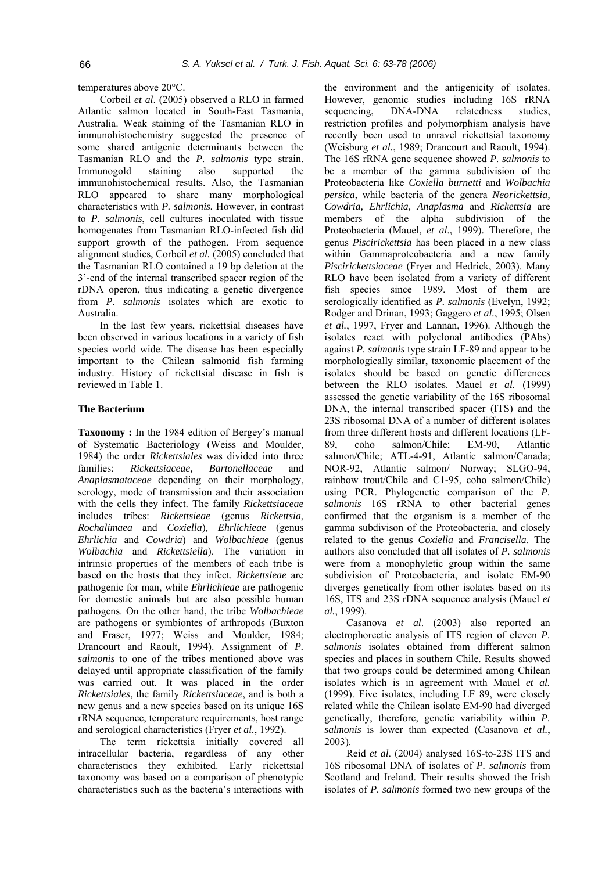temperatures above 20°C.

Corbeil *et al*. (2005) observed a RLO in farmed Atlantic salmon located in South-East Tasmania, Australia. Weak staining of the Tasmanian RLO in immunohistochemistry suggested the presence of some shared antigenic determinants between the Tasmanian RLO and the *P. salmonis* type strain. Immunogold staining also supported the immunohistochemical results. Also, the Tasmanian RLO appeared to share many morphological characteristics with *P. salmonis.* However, in contrast to *P. salmonis*, cell cultures inoculated with tissue homogenates from Tasmanian RLO-infected fish did support growth of the pathogen. From sequence alignment studies, Corbeil *et al.* (2005) concluded that the Tasmanian RLO contained a 19 bp deletion at the 3'-end of the internal transcribed spacer region of the rDNA operon, thus indicating a genetic divergence from *P. salmonis* isolates which are exotic to Australia.

In the last few years, rickettsial diseases have been observed in various locations in a variety of fish species world wide. The disease has been especially important to the Chilean salmonid fish farming industry. History of rickettsial disease in fish is reviewed in Table 1.

### **The Bacterium**

**Taxonomy :** In the 1984 edition of Bergey's manual of Systematic Bacteriology (Weiss and Moulder, 1984) the order *Rickettsiales* was divided into three families: *Rickettsiaceae, Bartonellaceae* and *Anaplasmataceae* depending on their morphology, serology, mode of transmission and their association with the cells they infect. The family *Rickettsiaceae* includes tribes: *Rickettsieae* (genus *Rickettsia*, *Rochalimaea* and *Coxiella*)*, Ehrlichieae* (genus *Ehrlichia* and *Cowdria*) and *Wolbachieae* (genus *Wolbachia* and *Rickettsiella*). The variation in intrinsic properties of the members of each tribe is based on the hosts that they infect. *Rickettsieae* are pathogenic for man, while *Ehrlichieae* are pathogenic for domestic animals but are also possible human pathogens. On the other hand, the tribe *Wolbachieae*  are pathogens or symbiontes of arthropods (Buxton and Fraser, 1977; Weiss and Moulder, 1984; Drancourt and Raoult, 1994). Assignment of *P. salmonis* to one of the tribes mentioned above was delayed until appropriate classification of the family was carried out. It was placed in the order *Rickettsiales*, the family *Rickettsiaceae*, and is both a new genus and a new species based on its unique 16S rRNA sequence, temperature requirements, host range and serological characteristics (Fryer *et al.*, 1992).

The term rickettsia initially covered all intracellular bacteria, regardless of any other characteristics they exhibited. Early rickettsial taxonomy was based on a comparison of phenotypic characteristics such as the bacteria's interactions with

the environment and the antigenicity of isolates. However, genomic studies including 16S rRNA sequencing, DNA-DNA relatedness studies, restriction profiles and polymorphism analysis have recently been used to unravel rickettsial taxonomy (Weisburg *et al.*, 1989; Drancourt and Raoult, 1994). The 16S rRNA gene sequence showed *P. salmonis* to be a member of the gamma subdivision of the Proteobacteria like *Coxiella burnetti* and *Wolbachia persica*, while bacteria of the genera *Neorickettsia, Cowdria, Ehrlichia, Anaplasma* and *Rickettsia* are members of the alpha subdivision of the Proteobacteria (Mauel, *et al*., 1999). Therefore, the genus *Piscirickettsia* has been placed in a new class within Gammaproteobacteria and a new family *Piscirickettsiaceae* (Fryer and Hedrick, 2003). Many RLO have been isolated from a variety of different fish species since 1989. Most of them are serologically identified as *P. salmonis* (Evelyn, 1992; Rodger and Drinan, 1993; Gaggero *et al.*, 1995; Olsen *et al.*, 1997, Fryer and Lannan, 1996). Although the isolates react with polyclonal antibodies (PAbs) against *P. salmonis* type strain LF-89 and appear to be morphologically similar, taxonomic placement of the isolates should be based on genetic differences between the RLO isolates. Mauel *et al.* (1999) assessed the genetic variability of the 16S ribosomal DNA, the internal transcribed spacer (ITS) and the 23S ribosomal DNA of a number of different isolates from three different hosts and different locations (LF-89, coho salmon/Chile; EM-90, Atlantic salmon/Chile; ATL-4-91, Atlantic salmon/Canada; NOR-92, Atlantic salmon/ Norway; SLGO-94, rainbow trout/Chile and C1-95, coho salmon/Chile) using PCR. Phylogenetic comparison of the *P. salmonis* 16S rRNA to other bacterial genes confirmed that the organism is a member of the gamma subdivison of the Proteobacteria, and closely related to the genus *Coxiella* and *Francisella*. The authors also concluded that all isolates of *P. salmonis* were from a monophyletic group within the same subdivision of Proteobacteria, and isolate EM-90 diverges genetically from other isolates based on its 16S, ITS and 23S rDNA sequence analysis (Mauel *et al.*, 1999).

Casanova *et al*. (2003) also reported an electrophorectic analysis of ITS region of eleven *P. salmonis* isolates obtained from different salmon species and places in southern Chile. Results showed that two groups could be determined among Chilean isolates which is in agreement with Mauel *et al.* (1999). Five isolates, including LF 89, were closely related while the Chilean isolate EM-90 had diverged genetically, therefore, genetic variability within *P. salmonis* is lower than expected (Casanova *et al.*, 2003).

Reid *et al*. (2004) analysed 16S-to-23S ITS and 16S ribosomal DNA of isolates of *P. salmonis* from Scotland and Ireland. Their results showed the Irish isolates of *P. salmonis* formed two new groups of the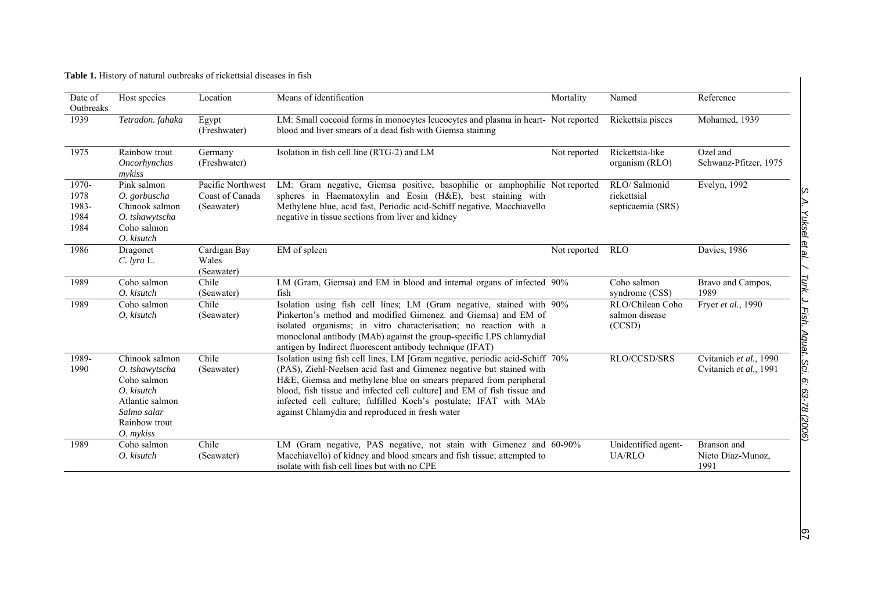**Table 1.** History of natural outbreaks of rickettsial diseases in fish

| Date of<br>Outbreaks                   | Host species                                                                                                                    | Location                                           | Means of identification                                                                                                                                                                                                                                                                                                                                                                                                     | Mortality    | Named                                            | Reference                                        |
|----------------------------------------|---------------------------------------------------------------------------------------------------------------------------------|----------------------------------------------------|-----------------------------------------------------------------------------------------------------------------------------------------------------------------------------------------------------------------------------------------------------------------------------------------------------------------------------------------------------------------------------------------------------------------------------|--------------|--------------------------------------------------|--------------------------------------------------|
| 1939                                   | Tetradon. fahaka                                                                                                                | Egypt<br>(Freshwater)                              | LM: Small coccoid forms in monocytes leucocytes and plasma in heart- Not reported<br>blood and liver smears of a dead fish with Giemsa staining                                                                                                                                                                                                                                                                             |              | Rickettsia pisces                                | Mohamed, 1939                                    |
| 1975                                   | Rainbow trout<br>Oncorhynchus<br>mykiss                                                                                         | Germany<br>(Freshwater)                            | Isolation in fish cell line (RTG-2) and LM                                                                                                                                                                                                                                                                                                                                                                                  | Not reported | Rickettsia-like<br>organism (RLO)                | Ozel and<br>Schwanz-Pfitzer, 1975                |
| 1970-<br>1978<br>1983-<br>1984<br>1984 | Pink salmon<br>O. gorbuscha<br>Chinook salmon<br>O. tshawytscha<br>Coho salmon<br>O. kisutch                                    | Pacific Northwest<br>Coast of Canada<br>(Seawater) | LM: Gram negative, Giemsa positive, basophilic or amphophilic Not reported<br>spheres in Haematoxylin and Eosin (H&E), best staining with<br>Methylene blue, acid fast, Periodic acid-Schiff negative, Macchiavello<br>negative in tissue sections from liver and kidney                                                                                                                                                    |              | RLO/Salmonid<br>rickettsial<br>septicaemia (SRS) | Evelyn, 1992                                     |
| 1986                                   | Dragonet<br>$C.$ lyra $L.$                                                                                                      | Cardigan Bay<br>Wales<br>(Seawater)                | EM of spleen                                                                                                                                                                                                                                                                                                                                                                                                                | Not reported | <b>RLO</b>                                       | Davies, 1986                                     |
| 1989                                   | Coho salmon<br>O. kisutch                                                                                                       | Chile<br>(Seawater)                                | LM (Gram, Giemsa) and EM in blood and internal organs of infected 90%<br>fish                                                                                                                                                                                                                                                                                                                                               |              | Coho salmon<br>syndrome (CSS)                    | Bravo and Campos,<br>1989                        |
| 1989                                   | Coho salmon<br>O. kisutch                                                                                                       | Chile<br>(Seawater)                                | Isolation using fish cell lines; LM (Gram negative, stained with 90%<br>Pinkerton's method and modified Gimenez. and Giemsa) and EM of<br>isolated organisms; in vitro characterisation; no reaction with a<br>monoclonal antibody (MAb) against the group-specific LPS chlamydial<br>antigen by Indirect fluorescent antibody technique (IFAT)                                                                             |              | RLO/Chilean Coho<br>salmon disease<br>(CCSD)     | Fryer et al., 1990                               |
| 1989-<br>1990                          | Chinook salmon<br>O. tshawytscha<br>Coho salmon<br>O. kisutch<br>Atlantic salmon<br>Salmo salar<br>Rainbow trout<br>$O.$ mykiss | Chile<br>(Seawater)                                | Isolation using fish cell lines, LM [Gram negative, periodic acid-Schiff 70%<br>(PAS), Ziehl-Neelsen acid fast and Gimenez negative but stained with<br>H&E, Giemsa and methylene blue on smears prepared from peripheral<br>blood, fish tissue and infected cell culture] and EM of fish tissue and<br>infected cell culture; fulfilled Koch's postulate; IFAT with MAb<br>against Chlamydia and reproduced in fresh water |              | RLO/CCSD/SRS                                     | Cvitanich et al., 1990<br>Cvitanich et al., 1991 |
| 1989                                   | Coho salmon<br>O. kisutch                                                                                                       | Chile<br>(Seawater)                                | LM (Gram negative, PAS negative, not stain with Gimenez and 60-90%<br>Macchiavello) of kidney and blood smears and fish tissue; attempted to<br>isolate with fish cell lines but with no CPE                                                                                                                                                                                                                                |              | Unidentified agent-<br><b>UA/RLO</b>             | Branson and<br>Nieto Diaz-Munoz,<br>1991         |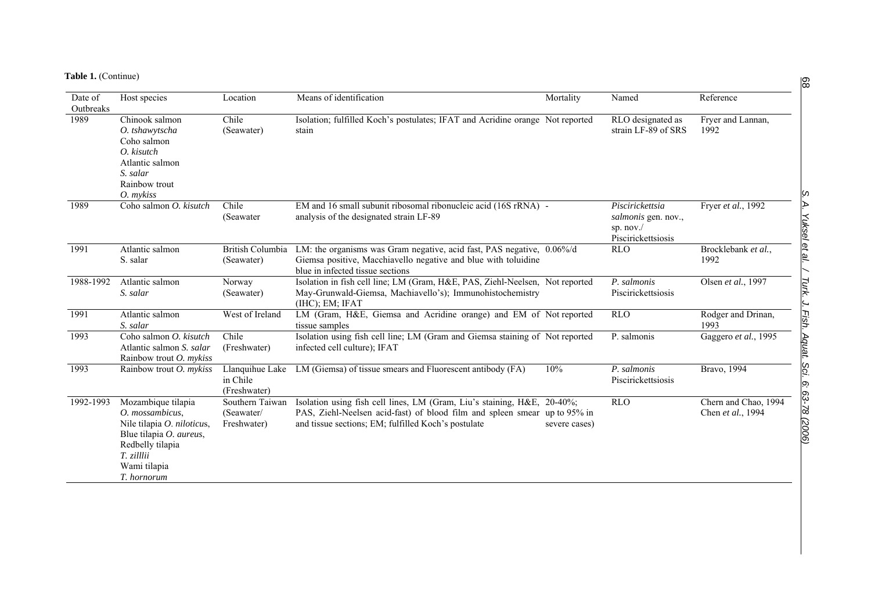| Table 1. (Continue) |  |
|---------------------|--|
|---------------------|--|

| Date of         | Host species                                                                                                                                                    | Location                                     | Means of identification                                                                                                                                                                                     | Mortality     | Named                                                                      | Reference                                 |
|-----------------|-----------------------------------------------------------------------------------------------------------------------------------------------------------------|----------------------------------------------|-------------------------------------------------------------------------------------------------------------------------------------------------------------------------------------------------------------|---------------|----------------------------------------------------------------------------|-------------------------------------------|
| Outbreaks       |                                                                                                                                                                 |                                              |                                                                                                                                                                                                             |               |                                                                            |                                           |
| <sup>1989</sup> | Chinook salmon<br>O. tshawytscha<br>Coho salmon<br>O. kisutch<br>Atlantic salmon<br>S. salar<br>Rainbow trout<br>O. mykiss                                      | Chile<br>(Seawater)                          | Isolation; fulfilled Koch's postulates; IFAT and Acridine orange Not reported<br>stain                                                                                                                      |               | RLO designated as<br>strain LF-89 of SRS                                   | Fryer and Lannan,<br>1992                 |
| 1989            | Coho salmon O. kisutch                                                                                                                                          | Chile<br>(Seawater                           | EM and 16 small subunit ribosomal ribonucleic acid (16S rRNA) -<br>analysis of the designated strain LF-89                                                                                                  |               | Piscirickettsia<br>salmonis gen. nov.,<br>sp. $nov.$<br>Piscirickettsiosis | Fryer et al., 1992                        |
| 1991            | Atlantic salmon<br>S. salar                                                                                                                                     | <b>British Columbia</b><br>(Seawater)        | LM: the organisms was Gram negative, acid fast, PAS negative, 0.06%/d<br>Giemsa positive, Macchiavello negative and blue with toluidine<br>blue in infected tissue sections                                 |               | <b>RLO</b>                                                                 | Brocklebank et al.,<br>1992               |
| 1988-1992       | Atlantic salmon<br>S. salar                                                                                                                                     | Norway<br>(Seawater)                         | Isolation in fish cell line; LM (Gram, H&E, PAS, Ziehl-Neelsen, Not reported<br>May-Grunwald-Giemsa, Machiavello's); Immunohistochemistry<br>$(IHC)$ ; EM; IFAT                                             |               | P. salmonis<br>Piscirickettsiosis                                          | Olsen et al., 1997                        |
| 1991            | Atlantic salmon<br>S. salar                                                                                                                                     | West of Ireland                              | LM (Gram, H&E, Giemsa and Acridine orange) and EM of Not reported<br>tissue samples                                                                                                                         |               | <b>RLO</b>                                                                 | Rodger and Drinan,<br>1993                |
| 1993            | Coho salmon O. kisutch<br>Atlantic salmon S. salar<br>Rainbow trout <i>O. mykiss</i>                                                                            | Chile<br>(Freshwater)                        | Isolation using fish cell line; LM (Gram and Giemsa staining of Not reported<br>infected cell culture); IFAT                                                                                                |               | P. salmonis                                                                | Gaggero et al., 1995                      |
| 1993            | Rainbow trout O. mykiss                                                                                                                                         | Llanquihue Lake<br>in Chile<br>(Freshwater)  | LM (Giemsa) of tissue smears and Fluorescent antibody (FA)                                                                                                                                                  | 10%           | P. salmonis<br>Piscirickettsiosis                                          | Bravo, 1994                               |
| 1992-1993       | Mozambique tilapia<br>O. mossambicus.<br>Nile tilapia O. niloticus,<br>Blue tilapia O. aureus,<br>Redbelly tilapia<br>T. zilllii<br>Wami tilapia<br>T. hornorum | Southern Taiwan<br>(Seawater/<br>Freshwater) | Isolation using fish cell lines, LM (Gram, Liu's staining, H&E, 20-40%;<br>PAS, Ziehl-Neelsen acid-fast) of blood film and spleen smear up to 95% in<br>and tissue sections; EM; fulfilled Koch's postulate | severe cases) | <b>RLO</b>                                                                 | Chern and Chao, 1994<br>Chen et al., 1994 |

68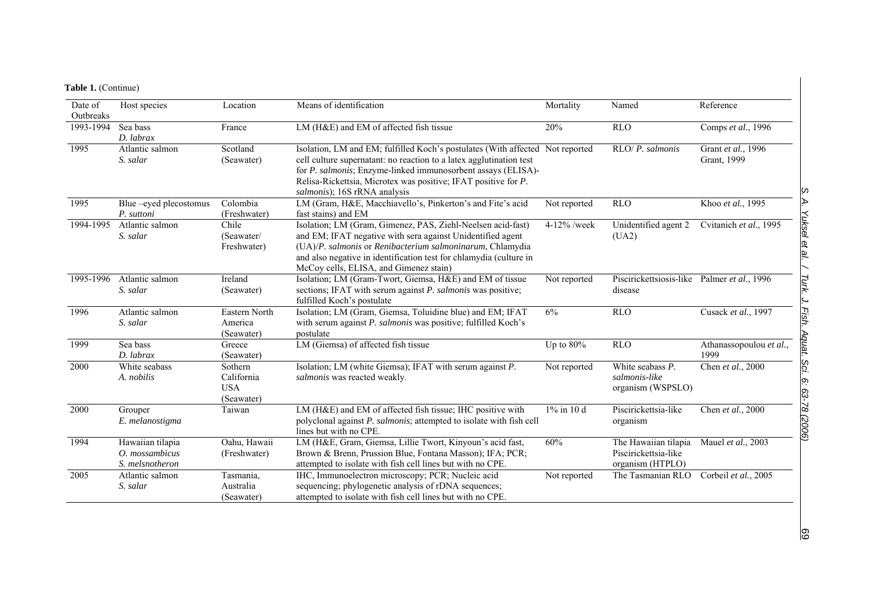# **Table 1.** (Continue)

| Date of<br>Outbreaks | Host species                                            | Location                                          | Means of identification                                                                                                                                                                                                                                                                                                | Mortality    | Named                                                            | Reference                         |
|----------------------|---------------------------------------------------------|---------------------------------------------------|------------------------------------------------------------------------------------------------------------------------------------------------------------------------------------------------------------------------------------------------------------------------------------------------------------------------|--------------|------------------------------------------------------------------|-----------------------------------|
| 1993-1994            | Sea bass<br>D. labrax                                   | France                                            | LM (H&E) and EM of affected fish tissue                                                                                                                                                                                                                                                                                | 20%          | <b>RLO</b>                                                       | Comps et al., 1996                |
| 1995                 | Atlantic salmon<br>S. salar                             | Scotland<br>(Seawater)                            | Isolation, LM and EM; fulfilled Koch's postulates (With affected Not reported<br>cell culture supernatant: no reaction to a latex agglutination test<br>for P. salmonis; Enzyme-linked immunosorbent assays (ELISA)-<br>Relisa-Rickettsia, Microtex was positive; IFAT positive for P.<br>salmonis); 16S rRNA analysis |              | $RLO/P.$ salmonis                                                | Grant et al., 1996<br>Grant, 1999 |
| 1995                 | Blue-eyed plecostomus<br>P. suttoni                     | Colombia<br>(Freshwater)                          | LM (Gram, H&E, Macchiavello's, Pinkerton's and Fite's acid<br>fast stains) and EM                                                                                                                                                                                                                                      | Not reported | <b>RLO</b>                                                       | Khoo et al., 1995                 |
| 1994-1995            | Atlantic salmon<br>S. salar                             | Chile<br>(Seawater/<br>Freshwater)                | Isolation; LM (Gram, Gimenez, PAS, Ziehl-Neelsen acid-fast)<br>and EM; IFAT negative with sera against Unidentified agent<br>(UA)/P. salmonis or Renibacterium salmoninarum, Chlamydia<br>and also negative in identification test for chlamydia (culture in<br>McCoy cells, ELISA, and Gimenez stain)                 | 4-12% /week  | Unidentified agent 2<br>(UA2)                                    | Cvitanich et al., 1995            |
| 1995-1996            | Atlantic salmon<br>S. salar                             | Ireland<br>(Seawater)                             | Isolation; LM (Gram-Twort, Giemsa, H&E) and EM of tissue<br>sections; IFAT with serum against P. salmonis was positive;<br>fulfilled Koch's postulate                                                                                                                                                                  | Not reported | Piscirickettsiosis-like Palmer et al., 1996<br>disease           |                                   |
| 1996                 | Atlantic salmon<br>S. salar                             | Eastern North<br>America<br>(Seawater)            | Isolation; LM (Gram, Giemsa, Toluidine blue) and EM; IFAT<br>with serum against P. salmonis was positive; fulfilled Koch's<br>postulate                                                                                                                                                                                | 6%           | <b>RLO</b>                                                       | Cusack et al., 1997               |
| 1999                 | Sea bass<br>$D.$ labrax                                 | Greece<br>(Seawater)                              | LM (Giemsa) of affected fish tissue                                                                                                                                                                                                                                                                                    | Up to $80\%$ | <b>RLO</b>                                                       | Athanassopoulou et al.,<br>1999   |
| 2000                 | White seabass<br>A. nobilis                             | Sothern<br>California<br><b>USA</b><br>(Seawater) | Isolation; LM (white Giemsa); IFAT with serum against P.<br>salmonis was reacted weakly.                                                                                                                                                                                                                               | Not reported | White seabass P.<br>salmonis-like<br>organism (WSPSLO)           | Chen et al., 2000                 |
| 2000                 | Grouper<br>E. melanostigma                              | Taiwan                                            | LM (H&E) and EM of affected fish tissue; IHC positive with<br>polyclonal against P. salmonis; attempted to isolate with fish cell<br>lines but with no CPE.                                                                                                                                                            | 1% in 10 d   | Piscirickettsia-like<br>organism                                 | Chen et al., 2000                 |
| 1994                 | Hawaiian tilapia<br>$O.$ mossambicus<br>S. melsnotheron | Oahu, Hawaii<br>(Freshwater)                      | LM (H&E, Gram, Giemsa, Lillie Twort, Kinyoun's acid fast,<br>Brown & Brenn, Prussion Blue, Fontana Masson); IFA; PCR;<br>attempted to isolate with fish cell lines but with no CPE.                                                                                                                                    | 60%          | The Hawaiian tilapia<br>Piscirickettsia-like<br>organism (HTPLO) | Mauel et al., 2003                |
| 2005                 | Atlantic salmon<br>S. salar                             | Tasmania,<br>Australia<br>(Seawater)              | IHC, Immunoelectron microscopy; PCR; Nucleic acid<br>sequencing; phylogenetic analysis of rDNA sequences;<br>attempted to isolate with fish cell lines but with no CPE.                                                                                                                                                | Not reported | The Tasmanian RLO                                                | Corbeil et al., 2005              |

89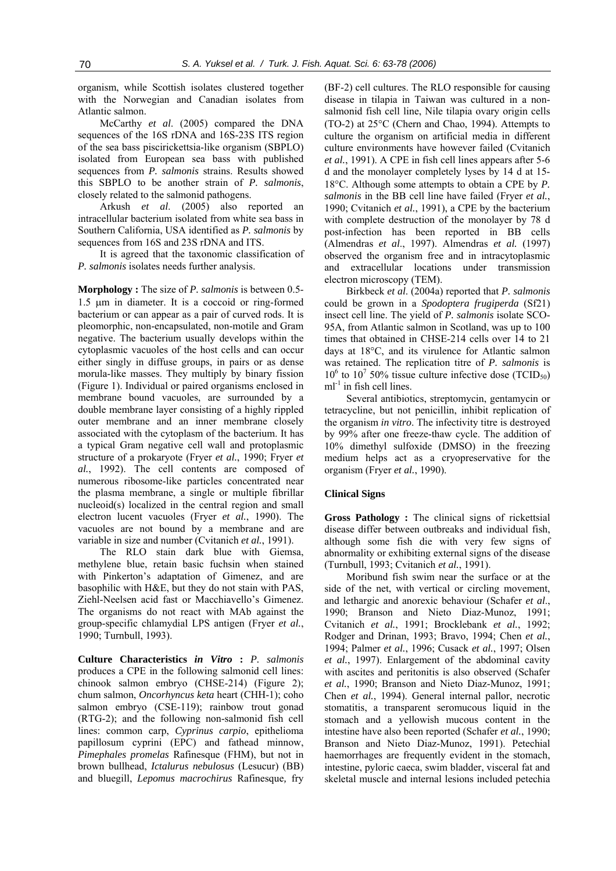organism, while Scottish isolates clustered together with the Norwegian and Canadian isolates from Atlantic salmon.

McCarthy *et al*. (2005) compared the DNA sequences of the 16S rDNA and 16S-23S ITS region of the sea bass piscirickettsia-like organism (SBPLO) isolated from European sea bass with published sequences from *P. salmonis* strains. Results showed this SBPLO to be another strain of *P. salmonis*, closely related to the salmonid pathogens.

Arkush *et al*. (2005) also reported an intracellular bacterium isolated from white sea bass in Southern California, USA identified as *P. salmonis* by sequences from 16S and 23S rDNA and ITS.

It is agreed that the taxonomic classification of *P. salmonis* isolates needs further analysis.

**Morphology :** The size of *P. salmonis* is between 0.5- 1.5 µm in diameter. It is a coccoid or ring-formed bacterium or can appear as a pair of curved rods. It is pleomorphic, non-encapsulated, non-motile and Gram negative. The bacterium usually develops within the cytoplasmic vacuoles of the host cells and can occur either singly in diffuse groups, in pairs or as dense morula-like masses. They multiply by binary fission (Figure 1). Individual or paired organisms enclosed in membrane bound vacuoles, are surrounded by a double membrane layer consisting of a highly rippled outer membrane and an inner membrane closely associated with the cytoplasm of the bacterium. It has a typical Gram negative cell wall and protoplasmic structure of a prokaryote (Fryer *et al.*, 1990; Fryer *et al.*, 1992). The cell contents are composed of numerous ribosome-like particles concentrated near the plasma membrane, a single or multiple fibrillar nucleoid(s) localized in the central region and small electron lucent vacuoles (Fryer *et al.*, 1990). The vacuoles are not bound by a membrane and are variable in size and number (Cvitanich *et al.*, 1991).

The RLO stain dark blue with Giemsa, methylene blue, retain basic fuchsin when stained with Pinkerton's adaptation of Gimenez, and are basophilic with H&E, but they do not stain with PAS, Ziehl-Neelsen acid fast or Macchiavello's Gimenez. The organisms do not react with MAb against the group-specific chlamydial LPS antigen (Fryer *et al.*, 1990; Turnbull, 1993).

**Culture Characteristics** *in Vitro* **:** *P. salmonis*  produces a CPE in the following salmonid cell lines: chinook salmon embryo (CHSE-214) (Figure 2); chum salmon, *Oncorhyncus keta* heart (CHH-1); coho salmon embryo (CSE-119); rainbow trout gonad (RTG-2); and the following non-salmonid fish cell lines: common carp, *Cyprinus carpio*, epithelioma papillosum cyprini (EPC) and fathead minnow, *Pimephales promelas* Rafinesque (FHM), but not in brown bullhead, *Ictalurus nebulosus* (Lesucur) (BB) and bluegill, *Lepomus macrochirus* Rafinesque*,* fry (BF-2) cell cultures. The RLO responsible for causing disease in tilapia in Taiwan was cultured in a nonsalmonid fish cell line, Nile tilapia ovary origin cells (TO-2) at 25°C (Chern and Chao, 1994). Attempts to culture the organism on artificial media in different culture environments have however failed (Cvitanich *et al.*, 1991). A CPE in fish cell lines appears after 5-6 d and the monolayer completely lyses by 14 d at 15- 18°C. Although some attempts to obtain a CPE by *P. salmonis* in the BB cell line have failed (Fryer *et al.*, 1990; Cvitanich *et al.*, 1991), a CPE by the bacterium with complete destruction of the monolayer by 78 d post-infection has been reported in BB cells (Almendras *et al*., 1997). Almendras *et al.* (1997) observed the organism free and in intracytoplasmic and extracellular locations under transmission electron microscopy (TEM).

Birkbeck *et al*. (2004a) reported that *P. salmonis* could be grown in a *Spodoptera frugiperda* (Sf21) insect cell line. The yield of *P. salmonis* isolate SCO-95A, from Atlantic salmon in Scotland, was up to 100 times that obtained in CHSE-214 cells over 14 to 21 days at 18°C, and its virulence for Atlantic salmon was retained. The replication titre of *P. salmonis* is  $10^6$  to  $10^7$  50% tissue culture infective dose (TCID<sub>50</sub>)  $ml<sup>-1</sup>$  in fish cell lines.

Several antibiotics, streptomycin, gentamycin or tetracycline, but not penicillin, inhibit replication of the organism *in vitro*. The infectivity titre is destroyed by 99% after one freeze-thaw cycle. The addition of 10% dimethyl sulfoxide (DMSO) in the freezing medium helps act as a cryopreservative for the organism (Fryer *et al.*, 1990).

#### **Clinical Signs**

**Gross Pathology :** The clinical signs of rickettsial disease differ between outbreaks and individual fish, although some fish die with very few signs of abnormality or exhibiting external signs of the disease (Turnbull, 1993; Cvitanich *et al.*, 1991).

Moribund fish swim near the surface or at the side of the net, with vertical or circling movement, and lethargic and anorexic behaviour (Schafer *et al*., 1990; Branson and Nieto Diaz-Munoz, 1991; Cvitanich *et al.*, 1991; Brocklebank *et al.*, 1992; Rodger and Drinan, 1993; Bravo, 1994; Chen *et al.*, 1994; Palmer *et al.*, 1996; Cusack *et al.*, 1997; Olsen *et al.*, 1997). Enlargement of the abdominal cavity with ascites and peritonitis is also observed (Schafer *et al.*, 1990; Branson and Nieto Diaz-Munoz, 1991; Chen *et al.*, 1994). General internal pallor, necrotic stomatitis, a transparent seromucous liquid in the stomach and a yellowish mucous content in the intestine have also been reported (Schafer *et al.*, 1990; Branson and Nieto Diaz-Munoz, 1991). Petechial haemorrhages are frequently evident in the stomach, intestine, pyloric caeca, swim bladder, visceral fat and skeletal muscle and internal lesions included petechia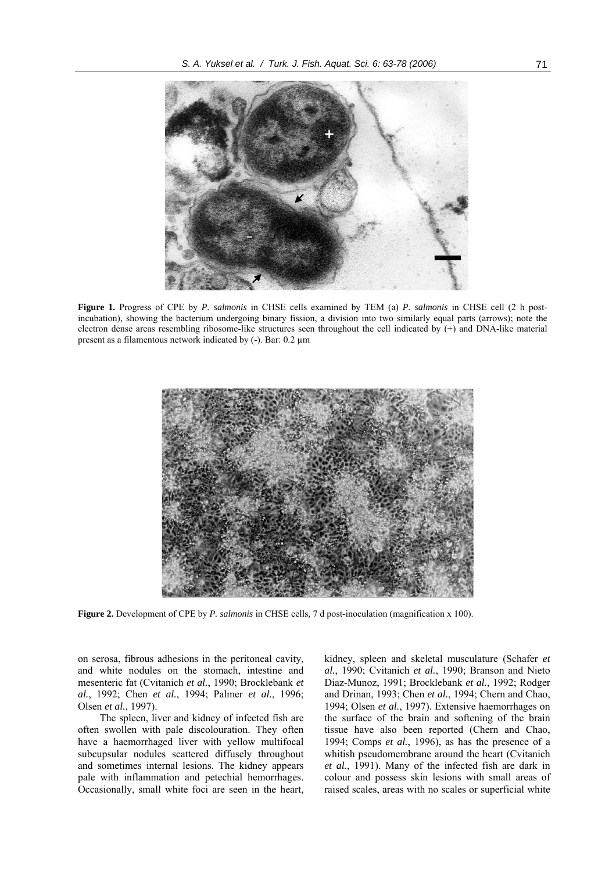

**Figure 1.** Progress of CPE by *P. salmonis* in CHSE cells examined by TEM (a) *P. salmonis* in CHSE cell (2 h postincubation), showing the bacterium undergoing binary fission, a division into two similarly equal parts (arrows); note the electron dense areas resembling ribosome-like structures seen throughout the cell indicated by (+) and DNA-like material present as a filamentous network indicated by (-). Bar: 0.2 µm



**Figure 2.** Development of CPE by *P. salmonis* in CHSE cells*,* 7 d post-inoculation (magnification x 100).

on serosa, fibrous adhesions in the peritoneal cavity, and white nodules on the stomach, intestine and mesenteric fat (Cvitanich *et al.*, 1990; Brocklebank *et al.*, 1992; Chen *et al.*, 1994; Palmer *et al.*, 1996; Olsen *et al.*, 1997).

The spleen, liver and kidney of infected fish are often swollen with pale discolouration. They often have a haemorrhaged liver with yellow multifocal subcupsular nodules scattered diffusely throughout and sometimes internal lesions. The kidney appears pale with inflammation and petechial hemorrhages. Occasionally, small white foci are seen in the heart,

kidney, spleen and skeletal musculature (Schafer *et al.*, 1990; Cvitanich *et al.*, 1990; Branson and Nieto Diaz-Munoz, 1991; Brocklebank *et al.*, 1992; Rodger and Drinan, 1993; Chen *et al.*, 1994; Chern and Chao, 1994; Olsen *et al.*, 1997). Extensive haemorrhages on the surface of the brain and softening of the brain tissue have also been reported (Chern and Chao, 1994; Comps *et al.*, 1996), as has the presence of a whitish pseudomembrane around the heart (Cvitanich *et al.*, 1991). Many of the infected fish are dark in colour and possess skin lesions with small areas of raised scales, areas with no scales or superficial white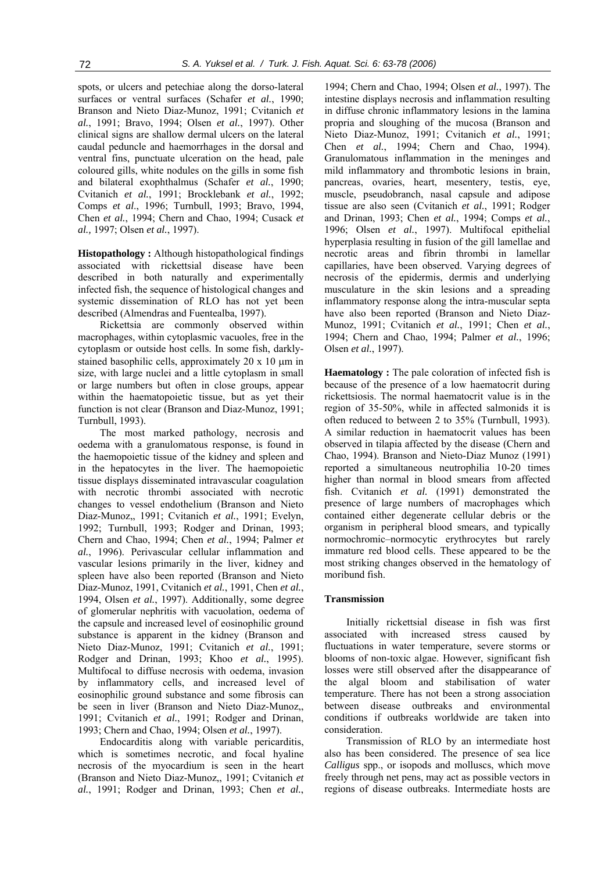spots, or ulcers and petechiae along the dorso-lateral surfaces or ventral surfaces (Schafer *et al.*, 1990; Branson and Nieto Diaz-Munoz, 1991; Cvitanich *et al.*, 1991; Bravo, 1994; Olsen *et al.*, 1997). Other clinical signs are shallow dermal ulcers on the lateral caudal peduncle and haemorrhages in the dorsal and ventral fins, punctuate ulceration on the head, pale coloured gills, white nodules on the gills in some fish and bilateral exophthalmus (Schafer *et al.*, 1990; Cvitanich *et al.*, 1991; Brocklebank *et al.*, 1992; Comps *et al*., 1996; Turnbull, 1993; Bravo, 1994, Chen *et al.*, 1994; Chern and Chao, 1994; Cusack *et al.,* 1997; Olsen *et al.*, 1997).

**Histopathology :** Although histopathological findings associated with rickettsial disease have been described in both naturally and experimentally infected fish, the sequence of histological changes and systemic dissemination of RLO has not yet been described (Almendras and Fuentealba, 1997).

Rickettsia are commonly observed within macrophages, within cytoplasmic vacuoles, free in the cytoplasm or outside host cells. In some fish, darklystained basophilic cells, approximately 20 x 10  $\mu$ m in size, with large nuclei and a little cytoplasm in small or large numbers but often in close groups, appear within the haematopoietic tissue, but as yet their function is not clear (Branson and Diaz-Munoz, 1991; Turnbull, 1993).

The most marked pathology, necrosis and oedema with a granulomatous response, is found in the haemopoietic tissue of the kidney and spleen and in the hepatocytes in the liver. The haemopoietic tissue displays disseminated intravascular coagulation with necrotic thrombi associated with necrotic changes to vessel endothelium (Branson and Nieto Diaz-Munoz,, 1991; Cvitanich *et al.*, 1991; Evelyn, 1992; Turnbull, 1993; Rodger and Drinan, 1993; Chern and Chao, 1994; Chen *et al.*, 1994; Palmer *et al.*, 1996). Perivascular cellular inflammation and vascular lesions primarily in the liver, kidney and spleen have also been reported (Branson and Nieto Diaz-Munoz, 1991, Cvitanich *et al.*, 1991, Chen *et al.*, 1994, Olsen *et al.*, 1997). Additionally, some degree of glomerular nephritis with vacuolation, oedema of the capsule and increased level of eosinophilic ground substance is apparent in the kidney (Branson and Nieto Diaz-Munoz, 1991; Cvitanich *et al.*, 1991; Rodger and Drinan, 1993; Khoo *et al.*, 1995). Multifocal to diffuse necrosis with oedema, invasion by inflammatory cells, and increased level of eosinophilic ground substance and some fibrosis can be seen in liver (Branson and Nieto Diaz-Munoz,, 1991; Cvitanich *et al.*, 1991; Rodger and Drinan, 1993; Chern and Chao, 1994; Olsen *et al.*, 1997).

Endocarditis along with variable pericarditis, which is sometimes necrotic, and focal hyaline necrosis of the myocardium is seen in the heart (Branson and Nieto Diaz-Munoz,, 1991; Cvitanich *et al.*, 1991; Rodger and Drinan, 1993; Chen *et al.*,

1994; Chern and Chao, 1994; Olsen *et al.*, 1997). The intestine displays necrosis and inflammation resulting in diffuse chronic inflammatory lesions in the lamina propria and sloughing of the mucosa (Branson and Nieto Diaz-Munoz, 1991; Cvitanich *et al.*, 1991; Chen *et al.*, 1994; Chern and Chao, 1994). Granulomatous inflammation in the meninges and mild inflammatory and thrombotic lesions in brain, pancreas, ovaries, heart, mesentery, testis, eye, muscle, pseudobranch, nasal capsule and adipose tissue are also seen (Cvitanich *et al.*, 1991; Rodger and Drinan, 1993; Chen *et al.*, 1994; Comps *et al.*, 1996; Olsen *et al.*, 1997). Multifocal epithelial hyperplasia resulting in fusion of the gill lamellae and necrotic areas and fibrin thrombi in lamellar capillaries, have been observed. Varying degrees of necrosis of the epidermis, dermis and underlying musculature in the skin lesions and a spreading inflammatory response along the intra-muscular septa have also been reported (Branson and Nieto Diaz-Munoz, 1991; Cvitanich *et al.*, 1991; Chen *et al.*, 1994; Chern and Chao, 1994; Palmer *et al.*, 1996; Olsen *et al.*, 1997).

**Haematology :** The pale coloration of infected fish is because of the presence of a low haematocrit during rickettsiosis. The normal haematocrit value is in the region of 35-50%, while in affected salmonids it is often reduced to between 2 to 35% (Turnbull, 1993). A similar reduction in haematocrit values has been observed in tilapia affected by the disease (Chern and Chao, 1994). Branson and Nieto-Diaz Munoz (1991) reported a simultaneous neutrophilia 10-20 times higher than normal in blood smears from affected fish. Cvitanich *et al.* (1991) demonstrated the presence of large numbers of macrophages which contained either degenerate cellular debris or the organism in peripheral blood smears, and typically normochromic–normocytic erythrocytes but rarely immature red blood cells. These appeared to be the most striking changes observed in the hematology of moribund fish.

### **Transmission**

Initially rickettsial disease in fish was first associated with increased stress caused by fluctuations in water temperature, severe storms or blooms of non-toxic algae. However, significant fish losses were still observed after the disappearance of the algal bloom and stabilisation of water temperature. There has not been a strong association between disease outbreaks and environmental conditions if outbreaks worldwide are taken into consideration.

Transmission of RLO by an intermediate host also has been considered. The presence of sea lice *Calligus* spp., or isopods and molluscs, which move freely through net pens, may act as possible vectors in regions of disease outbreaks. Intermediate hosts are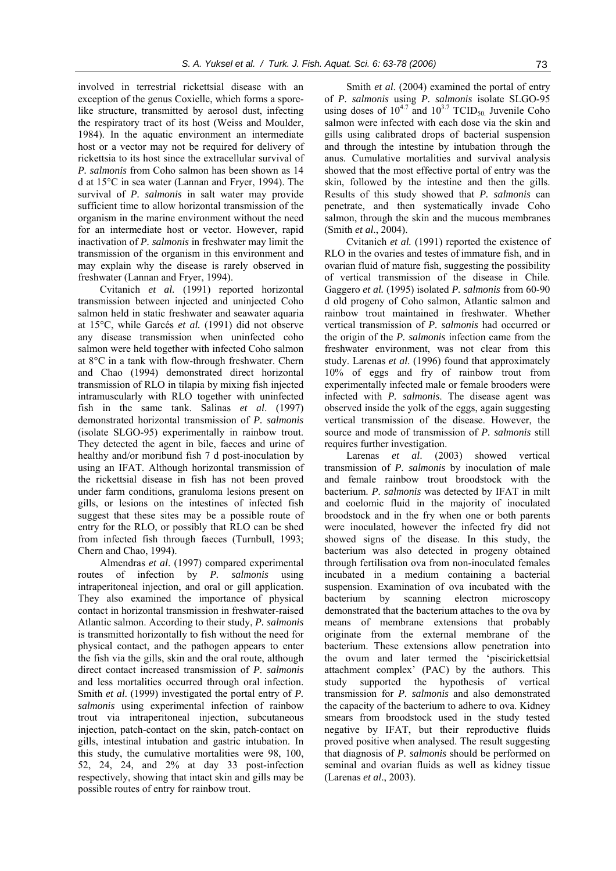involved in terrestrial rickettsial disease with an exception of the genus Coxielle, which forms a sporelike structure, transmitted by aerosol dust, infecting the respiratory tract of its host (Weiss and Moulder, 1984). In the aquatic environment an intermediate host or a vector may not be required for delivery of rickettsia to its host since the extracellular survival of *P. salmonis* from Coho salmon has been shown as 14 d at 15°C in sea water (Lannan and Fryer, 1994). The survival of *P. salmonis* in salt water may provide sufficient time to allow horizontal transmission of the organism in the marine environment without the need for an intermediate host or vector. However, rapid inactivation of *P. salmonis* in freshwater may limit the transmission of the organism in this environment and may explain why the disease is rarely observed in freshwater (Lannan and Fryer, 1994).

Cvitanich *et al.* (1991) reported horizontal transmission between injected and uninjected Coho salmon held in static freshwater and seawater aquaria at 15°C, while Garcés *et al.* (1991) did not observe any disease transmission when uninfected coho salmon were held together with infected Coho salmon at 8°C in a tank with flow-through freshwater. Chern and Chao (1994) demonstrated direct horizontal transmission of RLO in tilapia by mixing fish injected intramuscularly with RLO together with uninfected fish in the same tank. Salinas *et al*. (1997) demonstrated horizontal transmission of *P. salmonis* (isolate SLGO-95) experimentally in rainbow trout. They detected the agent in bile, faeces and urine of healthy and/or moribund fish 7 d post-inoculation by using an IFAT. Although horizontal transmission of the rickettsial disease in fish has not been proved under farm conditions, granuloma lesions present on gills, or lesions on the intestines of infected fish suggest that these sites may be a possible route of entry for the RLO, or possibly that RLO can be shed from infected fish through faeces (Turnbull, 1993; Chern and Chao, 1994).

Almendras *et al*. (1997) compared experimental routes of infection by *P. salmonis* using intraperitoneal injection, and oral or gill application. They also examined the importance of physical contact in horizontal transmission in freshwater-raised Atlantic salmon. According to their study, *P. salmonis*  is transmitted horizontally to fish without the need for physical contact, and the pathogen appears to enter the fish via the gills, skin and the oral route, although direct contact increased transmission of *P. salmonis* and less mortalities occurred through oral infection. Smith *et al*. (1999) investigated the portal entry of *P. salmonis* using experimental infection of rainbow trout via intraperitoneal injection, subcutaneous injection, patch-contact on the skin, patch-contact on gills, intestinal intubation and gastric intubation. In this study, the cumulative mortalities were 98, 100, 52, 24, 24, and 2% at day 33 post-infection respectively, showing that intact skin and gills may be possible routes of entry for rainbow trout.

Smith *et al*. (2004) examined the portal of entry of *P. salmonis* using *P. salmonis* isolate SLGO-95 using doses of  $10^{4.7}$  and  $10^{3.7}$  TCID<sub>50</sub> Juvenile Coho salmon were infected with each dose via the skin and gills using calibrated drops of bacterial suspension and through the intestine by intubation through the anus. Cumulative mortalities and survival analysis showed that the most effective portal of entry was the skin, followed by the intestine and then the gills. Results of this study showed that *P. salmonis* can penetrate, and then systematically invade Coho salmon, through the skin and the mucous membranes (Smith *et al*., 2004).

Cvitanich *et al.* (1991) reported the existence of RLO in the ovaries and testes of immature fish, and in ovarian fluid of mature fish, suggesting the possibility of vertical transmission of the disease in Chile. Gaggero *et al.* (1995) isolated *P. salmonis* from 60-90 d old progeny of Coho salmon, Atlantic salmon and rainbow trout maintained in freshwater. Whether vertical transmission of *P. salmonis* had occurred or the origin of the *P. salmonis* infection came from the freshwater environment, was not clear from this study. Larenas *et al*. (1996) found that approximately 10% of eggs and fry of rainbow trout from experimentally infected male or female brooders were infected with *P. salmonis*. The disease agent was observed inside the yolk of the eggs, again suggesting vertical transmission of the disease. However, the source and mode of transmission of *P. salmonis* still requires further investigation.

Larenas *et al*. (2003) showed vertical transmission of *P. salmonis* by inoculation of male and female rainbow trout broodstock with the bacterium. *P. salmonis* was detected by IFAT in milt and coelomic fluid in the majority of inoculated broodstock and in the fry when one or both parents were inoculated, however the infected fry did not showed signs of the disease. In this study, the bacterium was also detected in progeny obtained through fertilisation ova from non-inoculated females incubated in a medium containing a bacterial suspension. Examination of ova incubated with the bacterium by scanning electron microscopy demonstrated that the bacterium attaches to the ova by means of membrane extensions that probably originate from the external membrane of the bacterium. These extensions allow penetration into the ovum and later termed the 'piscirickettsial attachment complex' (PAC) by the authors. This study supported the hypothesis of vertical transmission for *P. salmonis* and also demonstrated the capacity of the bacterium to adhere to ova. Kidney smears from broodstock used in the study tested negative by IFAT, but their reproductive fluids proved positive when analysed. The result suggesting that diagnosis of *P. salmonis* should be performed on seminal and ovarian fluids as well as kidney tissue (Larenas *et al*., 2003).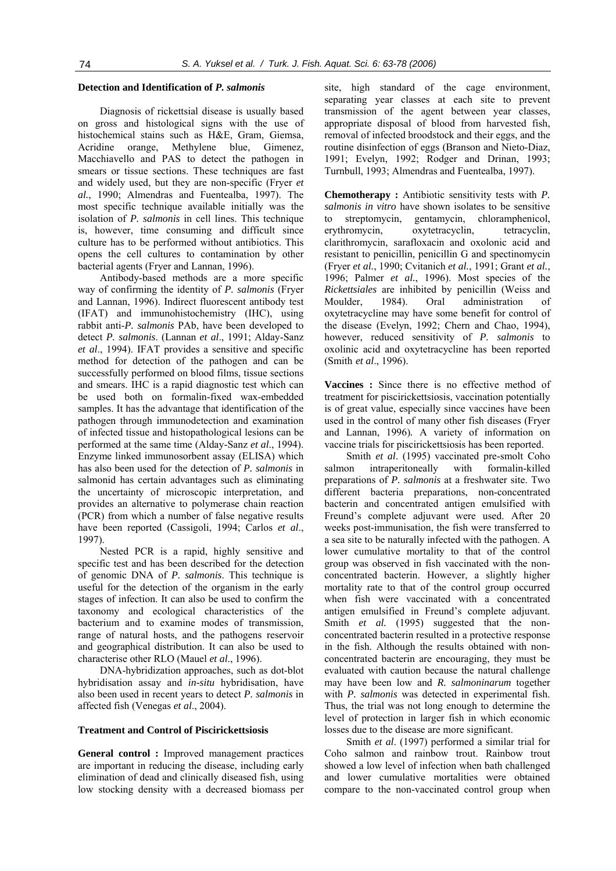## **Detection and Identification of** *P. salmonis*

Diagnosis of rickettsial disease is usually based on gross and histological signs with the use of histochemical stains such as H&E, Gram, Giemsa, Acridine orange, Methylene blue, Gimenez, Macchiavello and PAS to detect the pathogen in smears or tissue sections. These techniques are fast and widely used, but they are non-specific (Fryer *et al.*, 1990; Almendras and Fuentealba, 1997). The most specific technique available initially was the isolation of *P. salmonis* in cell lines. This technique is, however, time consuming and difficult since culture has to be performed without antibiotics. This opens the cell cultures to contamination by other bacterial agents (Fryer and Lannan, 1996).

Antibody-based methods are a more specific way of confirming the identity of *P. salmonis* (Fryer and Lannan, 1996). Indirect fluorescent antibody test (IFAT) and immunohistochemistry (IHC), using rabbit anti-*P. salmonis* PAb, have been developed to detect *P. salmonis*. (Lannan *et al*., 1991; Alday-Sanz *et al*., 1994). IFAT provides a sensitive and specific method for detection of the pathogen and can be successfully performed on blood films, tissue sections and smears. IHC is a rapid diagnostic test which can be used both on formalin-fixed wax-embedded samples. It has the advantage that identification of the pathogen through immunodetection and examination of infected tissue and histopathological lesions can be performed at the same time (Alday-Sanz *et al*., 1994). Enzyme linked immunosorbent assay (ELISA) which has also been used for the detection of *P. salmonis* in salmonid has certain advantages such as eliminating the uncertainty of microscopic interpretation, and provides an alternative to polymerase chain reaction (PCR) from which a number of false negative results have been reported (Cassigoli, 1994; Carlos *et al*., 1997).

Nested PCR is a rapid, highly sensitive and specific test and has been described for the detection of genomic DNA of *P. salmonis*. This technique is useful for the detection of the organism in the early stages of infection. It can also be used to confirm the taxonomy and ecological characteristics of the bacterium and to examine modes of transmission, range of natural hosts, and the pathogens reservoir and geographical distribution. It can also be used to characterise other RLO (Mauel *et al*., 1996).

DNA-hybridization approaches, such as dot-blot hybridisation assay and *in-situ* hybridisation, have also been used in recent years to detect *P. salmonis* in affected fish (Venegas *et al*., 2004).

#### **Treatment and Control of Piscirickettsiosis**

**General control :** Improved management practices are important in reducing the disease, including early elimination of dead and clinically diseased fish, using low stocking density with a decreased biomass per site, high standard of the cage environment, separating year classes at each site to prevent transmission of the agent between year classes, appropriate disposal of blood from harvested fish, removal of infected broodstock and their eggs, and the routine disinfection of eggs (Branson and Nieto-Diaz, 1991; Evelyn, 1992; Rodger and Drinan, 1993; Turnbull, 1993; Almendras and Fuentealba, 1997).

**Chemotherapy :** Antibiotic sensitivity tests with *P. salmonis in vitro* have shown isolates to be sensitive to streptomycin, gentamycin, chloramphenicol, erythromycin, oxytetracyclin, tetracyclin, clarithromycin, sarafloxacin and oxolonic acid and resistant to penicillin, penicillin G and spectinomycin (Fryer *et al.*, 1990; Cvitanich *et al.*, 1991; Grant *et al.*, 1996; Palmer *et al.*, 1996). Most species of the *Rickettsiales* are inhibited by penicillin (Weiss and Moulder, 1984). Oral administration of oxytetracycline may have some benefit for control of the disease (Evelyn, 1992; Chern and Chao, 1994), however, reduced sensitivity of *P. salmonis* to oxolinic acid and oxytetracycline has been reported (Smith *et al*., 1996).

**Vaccines :** Since there is no effective method of treatment for piscirickettsiosis, vaccination potentially is of great value, especially since vaccines have been used in the control of many other fish diseases (Fryer and Lannan, 1996)*.* A variety of information on vaccine trials for piscirickettsiosis has been reported.

Smith *et al*. (1995) vaccinated pre-smolt Coho salmon intraperitoneally with formalin-killed preparations of *P. salmonis* at a freshwater site. Two different bacteria preparations, non-concentrated bacterin and concentrated antigen emulsified with Freund's complete adjuvant were used. After 20 weeks post-immunisation, the fish were transferred to a sea site to be naturally infected with the pathogen. A lower cumulative mortality to that of the control group was observed in fish vaccinated with the nonconcentrated bacterin. However, a slightly higher mortality rate to that of the control group occurred when fish were vaccinated with a concentrated antigen emulsified in Freund's complete adjuvant. Smith *et al.* (1995) suggested that the nonconcentrated bacterin resulted in a protective response in the fish. Although the results obtained with nonconcentrated bacterin are encouraging, they must be evaluated with caution because the natural challenge may have been low and *R. salmoninarum* together with *P. salmonis* was detected in experimental fish. Thus, the trial was not long enough to determine the level of protection in larger fish in which economic losses due to the disease are more significant.

Smith *et al*. (1997) performed a similar trial for Coho salmon and rainbow trout. Rainbow trout showed a low level of infection when bath challenged and lower cumulative mortalities were obtained compare to the non-vaccinated control group when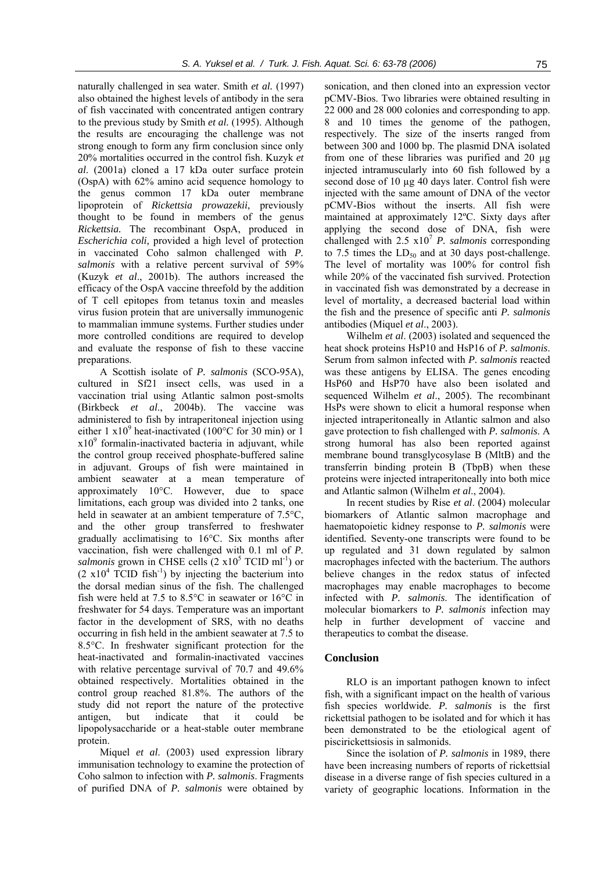naturally challenged in sea water. Smith *et al.* (1997) also obtained the highest levels of antibody in the sera of fish vaccinated with concentrated antigen contrary to the previous study by Smith *et al.* (1995). Although the results are encouraging the challenge was not strong enough to form any firm conclusion since only 20% mortalities occurred in the control fish. Kuzyk *et al*. (2001a) cloned a 17 kDa outer surface protein (OspA) with 62% amino acid sequence homology to the genus common 17 kDa outer membrane lipoprotein of *Rickettsia prowazekii*, previously thought to be found in members of the genus *Rickettsia.* The recombinant OspA, produced in *Escherichia coli,* provided a high level of protection in vaccinated Coho salmon challenged with *P. salmonis* with a relative percent survival of 59% (Kuzyk *et al*., 2001b). The authors increased the efficacy of the OspA vaccine threefold by the addition of T cell epitopes from tetanus toxin and measles virus fusion protein that are universally immunogenic to mammalian immune systems. Further studies under more controlled conditions are required to develop and evaluate the response of fish to these vaccine preparations.

A Scottish isolate of *P. salmonis* (SCO-95A), cultured in Sf21 insect cells, was used in a vaccination trial using Atlantic salmon post-smolts (Birkbeck *et al*., 2004b). The vaccine was administered to fish by intraperitoneal injection using either 1  $x10^9$  heat-inactivated (100°C for 30 min) or 1  $x10<sup>9</sup>$  formalin-inactivated bacteria in adjuvant, while the control group received phosphate-buffered saline in adjuvant. Groups of fish were maintained in ambient seawater at a mean temperature of approximately 10°C. However, due to space limitations, each group was divided into 2 tanks, one held in seawater at an ambient temperature of 7.5°C, and the other group transferred to freshwater gradually acclimatising to 16°C. Six months after vaccination, fish were challenged with 0.1 ml of *P.*  salmonis grown in CHSE cells  $(2 \times 10^5 \text{ TCID ml}^{-1})$  or  $(2 \times 10^4 \text{ TCID fish}^{-1})$  by injecting the bacterium into the dorsal median sinus of the fish. The challenged fish were held at 7.5 to 8.5°C in seawater or 16°C in freshwater for 54 days. Temperature was an important factor in the development of SRS, with no deaths occurring in fish held in the ambient seawater at 7.5 to 8.5°C. In freshwater significant protection for the heat-inactivated and formalin-inactivated vaccines with relative percentage survival of 70.7 and 49.6% obtained respectively. Mortalities obtained in the control group reached 81.8%. The authors of the study did not report the nature of the protective antigen, but indicate that it could be lipopolysaccharide or a heat-stable outer membrane protein.

Miquel *et al*. (2003) used expression library immunisation technology to examine the protection of Coho salmon to infection with *P. salmonis*. Fragments of purified DNA of *P. salmonis* were obtained by

sonication, and then cloned into an expression vector pCMV-Bios. Two libraries were obtained resulting in 22 000 and 28 000 colonies and corresponding to app. 8 and 10 times the genome of the pathogen, respectively. The size of the inserts ranged from between 300 and 1000 bp. The plasmid DNA isolated from one of these libraries was purified and 20 µg injected intramuscularly into 60 fish followed by a second dose of 10 µg 40 days later. Control fish were injected with the same amount of DNA of the vector pCMV-Bios without the inserts. All fish were maintained at approximately 12ºC. Sixty days after applying the second dose of DNA, fish were challenged with  $2.5 \times 10^7$  *P. salmonis* corresponding to 7.5 times the  $LD_{50}$  and at 30 days post-challenge. The level of mortality was 100% for control fish while 20% of the vaccinated fish survived. Protection in vaccinated fish was demonstrated by a decrease in level of mortality, a decreased bacterial load within the fish and the presence of specific anti *P. salmonis* antibodies (Miquel *et al*., 2003).

Wilhelm *et al*. (2003) isolated and sequenced the heat shock proteins HsP10 and HsP16 of *P. salmonis*. Serum from salmon infected with *P. salmonis* reacted was these antigens by ELISA. The genes encoding HsP60 and HsP70 have also been isolated and sequenced Wilhelm *et al*., 2005). The recombinant HsPs were shown to elicit a humoral response when injected intraperitoneally in Atlantic salmon and also gave protection to fish challenged with *P. salmonis*. A strong humoral has also been reported against membrane bound transglycosylase B (MltB) and the transferrin binding protein B (TbpB) when these proteins were injected intraperitoneally into both mice and Atlantic salmon (Wilhelm *et al*., 2004).

In recent studies by Rise *et al*. (2004) molecular biomarkers of Atlantic salmon macrophage and haematopoietic kidney response to *P. salmonis* were identified*.* Seventy-one transcripts were found to be up regulated and 31 down regulated by salmon macrophages infected with the bacterium. The authors believe changes in the redox status of infected macrophages may enable macrophages to become infected with *P. salmonis*. The identification of molecular biomarkers to *P. salmonis* infection may help in further development of vaccine and therapeutics to combat the disease.

#### **Conclusion**

RLO is an important pathogen known to infect fish, with a significant impact on the health of various fish species worldwide. *P. salmonis* is the first rickettsial pathogen to be isolated and for which it has been demonstrated to be the etiological agent of piscirickettsiosis in salmonids.

Since the isolation of *P. salmonis* in 1989, there have been increasing numbers of reports of rickettsial disease in a diverse range of fish species cultured in a variety of geographic locations. Information in the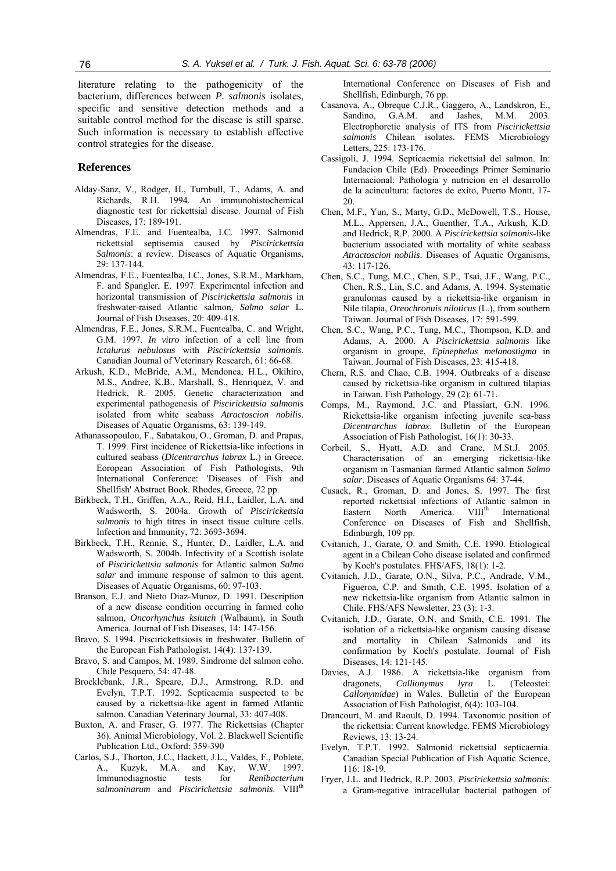literature relating to the pathogenicity of the bacterium, differences between *P. salmonis* isolates, specific and sensitive detection methods and a suitable control method for the disease is still sparse. Such information is necessary to establish effective control strategies for the disease.

#### **References**

- Alday-Sanz, V., Rodger, H., Turnbull, T., Adams, A. and Richards, R.H. 1994. An immunohistochemical diagnostic test for rickettsial disease. Journal of Fish Diseases, 17: 189-191.
- Almendras, F.E. and Fuentealba, I.C. 1997. Salmonid rickettsial septisemia caused by *Piscirickettsia Salmonis*: a review. Diseases of Aquatic Organisms, 29: 137-144.
- Almendras, F.E., Fuentealba, I.C., Jones, S.R.M., Markham, F. and Spangler, E. 1997. Experimental infection and horizontal transmission of *Piscirickettsia salmonis* in freshwater-raised Atlantic salmon, *Salmo salar* L. Journal of Fish Diseases, 20: 409-418.
- Almendras, F.E., Jones, S.R.M., Fuentealba, C. and Wright, G.M. 1997. *In vitro* infection of a cell line from *Ictalurus nebulosus* with *Piscirickettsia salmonis*. Canadian Journal of Veterinary Research, 61: 66-68.
- Arkush, K.D., McBride, A.M., Mendonca, H.L., Okihiro, M.S., Andree, K.B., Marshall, S., Henriquez, V. and Hedrick, R. 2005. Genetic characterization and experimental pathogenesis of *Piscirickettsia salmonis* isolated from white seabass *Atractoscion nobilis.* Diseases of Aquatic Organisms, 63: 139-149.
- Athanassopoulou, F., Sabatakou, O., Groman, D. and Prapas, T. 1999. First incidence of Rickettsia-like infections in cultured seabass (*Dicentrarchus labrax* L.) in Greece. Eoropean Association of Fish Pathologists, 9th International Conference: 'Diseases of Fish and Shellfish' Abstract Book. Rhodes, Greece, 72 pp.
- Birkbeck, T.H., Griffen, A.A., Reid, H.I., Laidler, L.A. and Wadsworth, S. 2004a. Growth of *Piscirickettsia salmonis* to high titres in insect tissue culture cells. Infection and Immunity, 72: 3693-3694.
- Birkbeck, T.H., Rennie, S., Hunter, D., Laidler, L.A. and Wadsworth, S. 2004b. Infectivity of a Scottish isolate of *Piscirickettsia salmonis* for Atlantic salmon *Salmo salar* and immune response of salmon to this agent. Diseases of Aquatic Organisms, 60: 97-103.
- Branson, E.J. and Nieto Diaz-Munoz, D. 1991. Description of a new disease condition occurring in farmed coho salmon, *Oncorhynchus ksiutch* (Walbaum), in South America. Journal of Fish Diseases, 14: 147-156.
- Bravo, S. 1994. Piscirickettsiosis in freshwater. Bulletin of the European Fish Pathologist, 14(4): 137-139.
- Bravo, S. and Campos, M. 1989. Sindrome del salmon coho. Chile Pesquero, 54: 47-48.
- Brocklebank, J.R., Speare, D.J., Armstrong, R.D. and Evelyn, T.P.T. 1992. Septicaemia suspected to be caused by a rickettsia-like agent in farmed Atlantic salmon. Canadian Veterinary Journal, 33: 407-408.
- Buxton, A. and Fraser, G. 1977. The Rickettsias (Chapter 36). Animal Microbiology, Vol. 2. Blackwell Scientific Publication Ltd., Oxford: 359-390
- Carlos, S.J., Thorton, J.C., Hackett, J.L., Valdes, F., Poblete, A., Kuzyk, M.A. and Kay, W.W. 1997. Immunodiagnostic tests for *Renibacterium salmoninarum* and *Piscirickettsia salmonis*. VIIIth

International Conference on Diseases of Fish and Shellfish, Edinburgh, 76 pp.

- Casanova, A., Obreque C.J.R., Gaggero, A., Landskron, E., Sandino, G.A.M. and Jashes, M.M. 2003. Electrophoretic analysis of ITS from *Piscirickettsia salmonis* Chilean isolates. FEMS Microbiology Letters, 225: 173-176.
- Cassigoli, J. 1994. Septicaemia rickettsial del salmon. In: Fundacion Chile (Ed). Proceedings Primer Seminario Internacional: Pathologia y nutricion en el desarrollo de la acincultura: factores de exito, Puerto Montt, 17- 20.
- Chen, M.F., Yun, S., Marty, G.D., McDowell, T.S., House, M.L., Appersen, J.A., Guenther, T.A., Arkush, K.D. and Hedrick, R.P. 2000. A *Piscirickettsia salmonis*-like bacterium associated with mortality of white seabass *Atractoscion nobilis*. Diseases of Aquatic Organisms, 43: 117-126.
- Chen, S.C., Tung, M.C., Chen, S.P., Tsai, J.F., Wang, P.C., Chen, R.S., Lin, S.C. and Adams, A. 1994. Systematic granulomas caused by a rickettsia-like organism in Nile tilapia, *Oreochronuis niloticus* (L.), from southern Taiwan. Journal of Fish Diseases, 17: 591-599.
- Chen, S.C., Wang, P.C., Tung, M.C., Thompson, K.D. and Adams, A. 2000. A *Piscirickettsia salmonis* like organism in groupe, *Epinephelus melanostigma* in Taiwan. Journal of Fish Diseases, 23: 415-418.
- Chern, R.S. and Chao, C.B. 1994. Outbreaks of a disease caused by rickettsia-like organism in cultured tilapias in Taiwan. Fish Pathology, 29 (2): 61-71.
- Comps, M., Raymond, J.C. and Plassiart, G.N. 1996. Rickettsia-like organism infecting juvenile sea-bass *Dicentrarchus labrax*. Bulletin of the European Association of Fish Pathologist, 16(1): 30-33.
- Corbeil, S., Hyatt, A.D. and Crane, M.St.J. 2005. Characterisation of an emerging rickettsia-like organism in Tasmanian farmed Atlantic salmon *Salmo salar*. Diseases of Aquatic Organisms 64: 37-44.
- Cusack, R., Groman, D. and Jones, S. 1997. The first reported rickettsial infections of Atlantic salmon in Eastern North America. VIII<sup>th</sup> International Conference on Diseases of Fish and Shellfish, Edinburgh, 109 pp.
- Cvitanich, J., Garate, O. and Smith, C.E. 1990. Etiological agent in a Chilean Coho disease isolated and confirmed by Koch's postulates. FHS/AFS, 18(1): 1-2.
- Cvitanich, J.D., Garate, O.N., Silva, P.C., Andrade, V.M., Figueroa, C.P. and Smith, C.E. 1995. Isolation of a new rickettsia-like organism from Atlantic salmon in Chile. FHS/AFS Newsletter, 23 (3): 1-3.
- Cvitanich, J.D., Garate, O.N. and Smith, C.E. 1991. The isolation of a rickettsia-like organism causing disease and mortality in Chilean Salmonids and its confirmation by Koch's postulate. Journal of Fish Diseases, 14: 121-145.
- Davies, A.J. 1986. A rickettsia-like organism from dragonets, *Callionymus lyra* L. (Teleostei: *Callonymidae*) in Wales. Bulletin of the European Association of Fish Pathologist, 6(4): 103-104.
- Drancourt, M. and Raoult, D. 1994. Taxonomic position of the rickettsia: Current knowledge. FEMS Microbiology Reviews, 13: 13-24.
- Evelyn, T.P.T. 1992. Salmonid rickettsial septicaemia. Canadian Special Publication of Fish Aquatic Science, 116: 18-19.
- Fryer, J.L. and Hedrick, R.P. 2003. *Piscirickettsia salmonis*: a Gram-negative intracellular bacterial pathogen of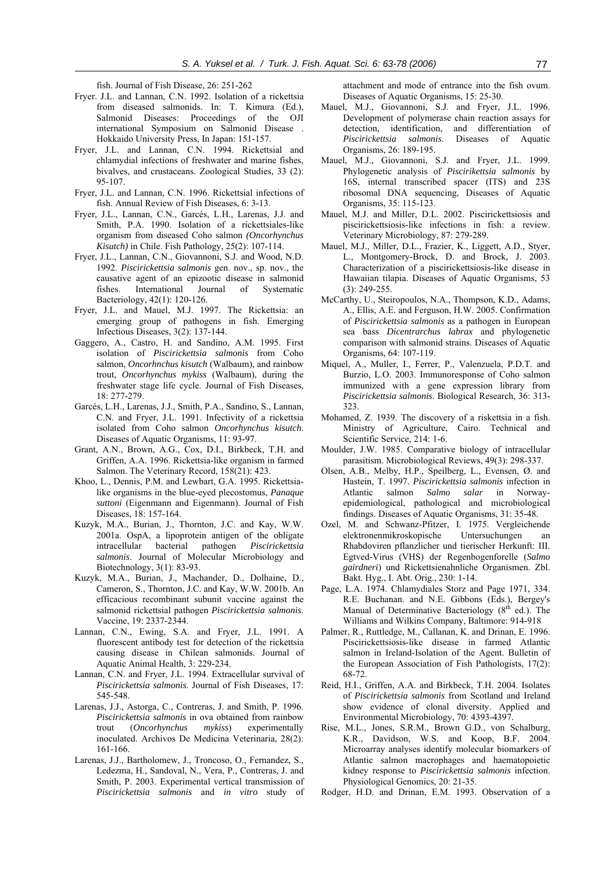fish. Journal of Fish Disease, 26: 251-262

- Fryer. J.L. and Lannan, C.N. 1992. Isolation of a rickettsia from diseased salmonids. In: T. Kimura (Ed.), Salmonid Diseases: Proceedings of the OJI international Symposium on Salmonid Disease . Hokkaido University Press, In Japan: 151-157.
- Fryer, J.L. and Lannan, C.N. 1994. Rickettsial and chlamydial infections of freshwater and marine fishes, bivalves, and crustaceans. Zoological Studies, 33 (2): 95-107.
- Fryer, J.L. and Lannan, C.N. 1996. Rickettsial infections of fish. Annual Review of Fish Diseases, 6: 3-13.
- Fryer, J.L., Lannan, C.N., Garcés, L.H., Larenas, J.J. and Smith, P.A. 1990. Isolation of a rickettsiales-like organism from diseased Coho salmon *(Oncorhynchus Kisutch)* in Chile. Fish Pathology, 25(2): 107-114.
- Fryer, J.L., Lannan, C.N., Giovannoni, S.J. and Wood, N.D. 1992. *Piscirickettsia salmonis* gen. nov., sp. nov., the causative agent of an epizootic disease in salmonid fishes. International Journal of Systematic Bacteriology, 42(1): 120-126.
- Fryer, J.L. and Mauel, M.J. 1997. The Rickettsia: an emerging group of pathogens in fish. Emerging Infectious Diseases, 3(2): 137-144.
- Gaggero, A., Castro, H. and Sandino, A.M. 1995. First isolation of *Piscirickettsia salmonis* from Coho salmon, *Oncorhnchus kisutch* (Walbaum), and rainbow trout, *Oncorhynchus mykiss* (Walbaum), during the freshwater stage life cycle. Journal of Fish Diseases, 18: 277-279.
- Garcés, L.H., Larenas, J.J., Smith, P.A., Sandino, S., Lannan, C.N. and Fryer, J.L. 1991. Infectivity of a rickettsia isolated from Coho salmon *Oncorhynchus kisutch*. Diseases of Aquatic Organisms, 11: 93-97.
- Grant, A.N., Brown, A.G., Cox, D.I., Birkbeck, T.H. and Griffen, A.A. 1996. Rickettsia-like organism in farmed Salmon. The Veterinary Record, 158(21): 423.
- Khoo, L., Dennis, P.M. and Lewbart, G.A. 1995. Rickettsialike organisms in the blue-eyed plecostomus, *Panaque suttoni* (Eigenmann and Eigenmann). Journal of Fish Diseases, 18: 157-164.
- Kuzyk, M.A., Burian, J., Thornton, J.C. and Kay, W.W. 2001a. OspA, a lipoprotein antigen of the obligate intracellular bacterial pathogen *Piscirickettsia salmonis*. Journal of Molecular Microbiology and Biotechnology, 3(1): 83-93.
- Kuzyk, M.A., Burian, J., Machander, D., Dolhaine, D., Cameron, S., Thornton, J.C. and Kay, W.W. 2001b. An efficacious recombinant subunit vaccine against the salmonid rickettsial pathogen *Piscirickettsia salmonis*. Vaccine, 19: 2337-2344.
- Lannan, C.N., Ewing, S.A. and Fryer, J.L. 1991. A fluorescent antibody test for detection of the rickettsia causing disease in Chilean salmonids. Journal of Aquatic Animal Health, 3: 229-234.
- Lannan, C.N. and Fryer, J.L. 1994. Extracellular survival of *Piscirickettsia salmonis*. Journal of Fish Diseases, 17: 545-548.
- Larenas, J.J., Astorga, C., Contreras, J. and Smith, P. 1996. *Piscirickettsia salmonis* in ova obtained from rainbow trout (*Oncorhynchus mykiss*) experimentally inoculated. Archivos De Medicina Veterinaria, 28(2): 161-166.
- Larenas, J.J., Bartholomew, J., Troncoso, O., Fernandez, S., Ledezma, H., Sandoval, N., Vera, P., Contreras, J. and Smith, P. 2003. Experimental vertical transmission of *Piscirickettsia salmonis* and *in vitro* study of

attachment and mode of entrance into the fish ovum. Diseases of Aquatic Organisms, 15: 25-30.

- Mauel, M.J., Giovannoni, S.J. and Fryer, J.L. 1996. Development of polymerase chain reaction assays for detection, identification, and differentiation of *Piscirickettsia salmonis*. Diseases of Aquatic Organisms, 26: 189-195.
- Mauel, M.J., Giovannoni, S.J. and Fryer, J.L. 1999. Phylogenetic analysis of *Piscirikettsia salmonis* by 16S, internal transcribed spacer (ITS) and 23S ribosomal DNA sequencing, Diseases of Aquatic Organisms, 35: 115-123.
- Mauel, M.J. and Miller, D.L. 2002. Piscirickettsiosis and piscirickettsiosis-like infections in fish: a review. Veterinary Microbiology, 87: 279-289.
- Mauel, M.J., Miller, D.L., Frazier, K., Liggett, A.D., Styer, L., Montgomery-Brock, D. and Brock, J. 2003. Characterization of a piscirickettsiosis-like disease in Hawaiian tilapia. Diseases of Aquatic Organisms, 53 (3): 249-255.
- McCarthy, U., Steiropoulos, N.A., Thompson, K.D., Adams, A., Ellis, A.E. and Ferguson, H.W. 2005. Confirmation of *Piscirickettsia salmonis* as a pathogen in European sea bass *Dicentrarchus labrax* and phylogenetic comparison with salmonid strains. Diseases of Aquatic Organisms, 64: 107-119.
- Miquel, A., Muller, I., Ferrer, P., Valenzuela, P.D.T. and Burzio, L.O. 2003. Immunoresponse of Coho salmon immunized with a gene expression library from *Piscirickettsia salmonis*. Biological Research, 36: 313- 323.
- Mohamed, Z. 1939. The discovery of a riskettsia in a fish. Ministry of Agriculture, Cairo. Technical and Scientific Service, 214: 1-6.
- Moulder, J.W. 1985. Comparative biology of intracellular parasitism. Microbiological Reviews, 49(3): 298-337.
- Olsen, A.B., Melby, H.P., Speilberg, L., Evensen, Ø. and Hastein, T. 1997. *Piscirickettsia salmonis* infection in Atlantic salmon *Salmo salar* in Norwayepidemiological, pathological and microbiological findings. Diseases of Aquatic Organisms, 31: 35-48.
- Ozel, M. and Schwanz-Pfitzer, I. 1975. Vergleichende elektronenmikroskopische Untersuchungen an Rhabdoviren pflanzlicher und tierischer Herkunft: III. Egtved-Virus (VHS) der Regenbogenforelle (*Salmo gairdneri*) und Rickettsienahnliche Organismen. Zbl. Bakt. Hyg., I. Abt. Orig., 230: 1-14.
- Page, L.A. 1974. Chlamydiales Storz and Page 1971, 334. R.E. Buchanan. and N.E. Gibbons (Eds.), Bergey's Manual of Determinative Bacteriology  $(8<sup>th</sup>$  ed.). The Williams and Wilkins Company, Baltimore: 914-918
- Palmer, R., Ruttledge, M., Callanan, K. and Drinan, E. 1996. Piscirickettsiosis-like disease in farmed Atlantic salmon in Ireland-Isolation of the Agent. Bulletin of the European Association of Fish Pathologists, 17(2): 68-72.
- Reid, H.I., Griffen, A.A. and Birkbeck, T.H. 2004. Isolates of *Piscirickettsia salmonis* from Scotland and Ireland show evidence of clonal diversity. Applied and Environmental Microbiology, 70: 4393-4397.
- Rise, M.L., Jones, S.R.M., Brown G.D., von Schalburg, K.R., Davidson, W.S. and Koop, B.F. 2004. Microarray analyses identify molecular biomarkers of Atlantic salmon macrophages and haematopoietic kidney response to *Piscirickettsia salmonis* infection. Physiological Genomics, 20: 21-35.
- Rodger, H.D. and Drinan, E.M. 1993. Observation of a